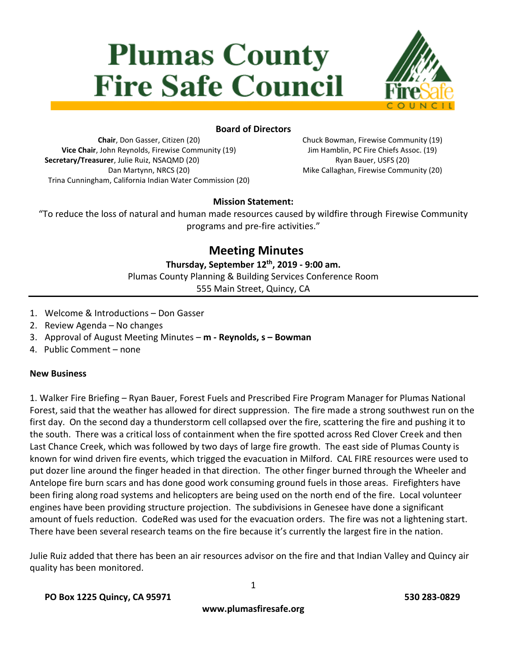# **Plumas County Fire Safe Council**



#### **Board of Directors**

**Chair**, Don Gasser, Citizen (20) **Vice Chair**, John Reynolds, Firewise Community (19) **Secretary/Treasurer**, Julie Ruiz, NSAQMD (20) Dan Martynn, NRCS (20) Trina Cunningham, California Indian Water Commission (20) Chuck Bowman, Firewise Community (19) Jim Hamblin, PC Fire Chiefs Assoc. (19) Ryan Bauer, USFS (20) Mike Callaghan, Firewise Community (20)

#### **Mission Statement:**

"To reduce the loss of natural and human made resources caused by wildfire through Firewise Community programs and pre-fire activities."

## **Meeting Minutes**

#### **Thursday, September 12th, 2019 - 9:00 am.**

Plumas County Planning & Building Services Conference Room

555 Main Street, Quincy, CA

- 1. Welcome & Introductions Don Gasser
- 2. Review Agenda No changes
- 3. Approval of August Meeting Minutes **m - Reynolds, s – Bowman**
- 4. Public Comment none

#### **New Business**

1. Walker Fire Briefing – Ryan Bauer, Forest Fuels and Prescribed Fire Program Manager for Plumas National Forest, said that the weather has allowed for direct suppression. The fire made a strong southwest run on the first day. On the second day a thunderstorm cell collapsed over the fire, scattering the fire and pushing it to the south. There was a critical loss of containment when the fire spotted across Red Clover Creek and then Last Chance Creek, which was followed by two days of large fire growth. The east side of Plumas County is known for wind driven fire events, which trigged the evacuation in Milford. CAL FIRE resources were used to put dozer line around the finger headed in that direction. The other finger burned through the Wheeler and Antelope fire burn scars and has done good work consuming ground fuels in those areas. Firefighters have been firing along road systems and helicopters are being used on the north end of the fire. Local volunteer engines have been providing structure projection. The subdivisions in Genesee have done a significant amount of fuels reduction. CodeRed was used for the evacuation orders. The fire was not a lightening start. There have been several research teams on the fire because it's currently the largest fire in the nation.

Julie Ruiz added that there has been an air resources advisor on the fire and that Indian Valley and Quincy air quality has been monitored.

**www.plumasfiresafe.org**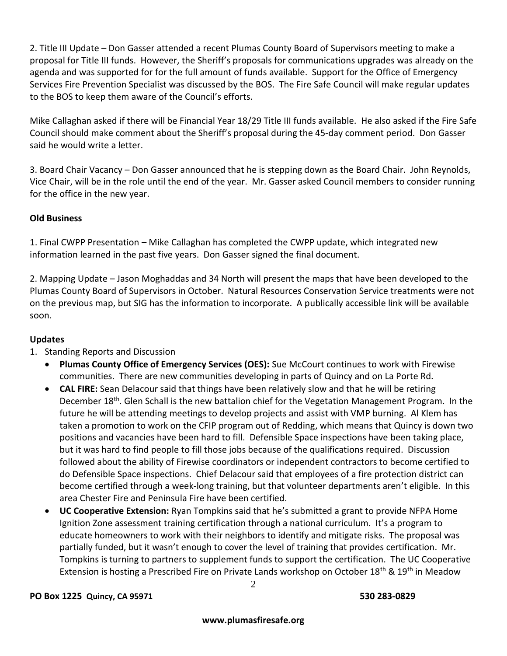2. Title III Update – Don Gasser attended a recent Plumas County Board of Supervisors meeting to make a proposal for Title III funds. However, the Sheriff's proposals for communications upgrades was already on the agenda and was supported for for the full amount of funds available. Support for the Office of Emergency Services Fire Prevention Specialist was discussed by the BOS. The Fire Safe Council will make regular updates to the BOS to keep them aware of the Council's efforts.

Mike Callaghan asked if there will be Financial Year 18/29 Title III funds available. He also asked if the Fire Safe Council should make comment about the Sheriff's proposal during the 45-day comment period. Don Gasser said he would write a letter.

3. Board Chair Vacancy – Don Gasser announced that he is stepping down as the Board Chair. John Reynolds, Vice Chair, will be in the role until the end of the year. Mr. Gasser asked Council members to consider running for the office in the new year.

### **Old Business**

1. Final CWPP Presentation – Mike Callaghan has completed the CWPP update, which integrated new information learned in the past five years. Don Gasser signed the final document.

2. Mapping Update – Jason Moghaddas and 34 North will present the maps that have been developed to the Plumas County Board of Supervisors in October. Natural Resources Conservation Service treatments were not on the previous map, but SIG has the information to incorporate. A publically accessible link will be available soon.

#### **Updates**

- 1. Standing Reports and Discussion
	- **Plumas County Office of Emergency Services (OES):** Sue McCourt continues to work with Firewise communities. There are new communities developing in parts of Quincy and on La Porte Rd.
	- **CAL FIRE:** Sean Delacour said that things have been relatively slow and that he will be retiring December 18<sup>th</sup>. Glen Schall is the new battalion chief for the Vegetation Management Program. In the future he will be attending meetings to develop projects and assist with VMP burning. Al Klem has taken a promotion to work on the CFIP program out of Redding, which means that Quincy is down two positions and vacancies have been hard to fill. Defensible Space inspections have been taking place, but it was hard to find people to fill those jobs because of the qualifications required. Discussion followed about the ability of Firewise coordinators or independent contractors to become certified to do Defensible Space inspections. Chief Delacour said that employees of a fire protection district can become certified through a week-long training, but that volunteer departments aren't eligible. In this area Chester Fire and Peninsula Fire have been certified.
	- **UC Cooperative Extension:** Ryan Tompkins said that he's submitted a grant to provide NFPA Home Ignition Zone assessment training certification through a national curriculum. It's a program to educate homeowners to work with their neighbors to identify and mitigate risks. The proposal was partially funded, but it wasn't enough to cover the level of training that provides certification. Mr. Tompkins is turning to partners to supplement funds to support the certification. The UC Cooperative Extension is hosting a Prescribed Fire on Private Lands workshop on October 18<sup>th</sup> & 19<sup>th</sup> in Meadow

#### **PO Box 1225 Quincy, CA 95971 530 283-0829**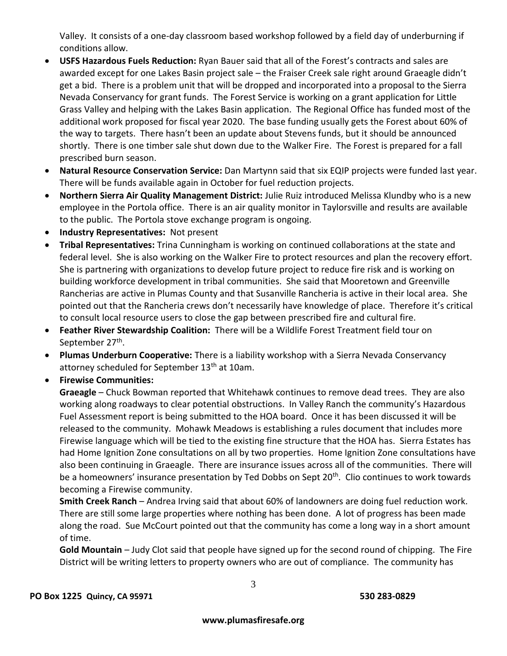Valley. It consists of a one-day classroom based workshop followed by a field day of underburning if conditions allow.

- **USFS Hazardous Fuels Reduction:** Ryan Bauer said that all of the Forest's contracts and sales are awarded except for one Lakes Basin project sale – the Fraiser Creek sale right around Graeagle didn't get a bid. There is a problem unit that will be dropped and incorporated into a proposal to the Sierra Nevada Conservancy for grant funds. The Forest Service is working on a grant application for Little Grass Valley and helping with the Lakes Basin application. The Regional Office has funded most of the additional work proposed for fiscal year 2020. The base funding usually gets the Forest about 60% of the way to targets. There hasn't been an update about Stevens funds, but it should be announced shortly. There is one timber sale shut down due to the Walker Fire. The Forest is prepared for a fall prescribed burn season.
- **Natural Resource Conservation Service:** Dan Martynn said that six EQIP projects were funded last year. There will be funds available again in October for fuel reduction projects.
- **Northern Sierra Air Quality Management District:** Julie Ruiz introduced Melissa Klundby who is a new employee in the Portola office. There is an air quality monitor in Taylorsville and results are available to the public. The Portola stove exchange program is ongoing.
- **Industry Representatives:** Not present
- **Tribal Representatives:** Trina Cunningham is working on continued collaborations at the state and federal level. She is also working on the Walker Fire to protect resources and plan the recovery effort. She is partnering with organizations to develop future project to reduce fire risk and is working on building workforce development in tribal communities. She said that Mooretown and Greenville Rancherias are active in Plumas County and that Susanville Rancheria is active in their local area. She pointed out that the Rancheria crews don't necessarily have knowledge of place. Therefore it's critical to consult local resource users to close the gap between prescribed fire and cultural fire.
- **Feather River Stewardship Coalition:** There will be a Wildlife Forest Treatment field tour on September 27<sup>th</sup>.
- **Plumas Underburn Cooperative:** There is a liability workshop with a Sierra Nevada Conservancy attorney scheduled for September 13<sup>th</sup> at 10am.
- **Firewise Communities:**

**Graeagle** – Chuck Bowman reported that Whitehawk continues to remove dead trees. They are also working along roadways to clear potential obstructions. In Valley Ranch the community's Hazardous Fuel Assessment report is being submitted to the HOA board. Once it has been discussed it will be released to the community. Mohawk Meadows is establishing a rules document that includes more Firewise language which will be tied to the existing fine structure that the HOA has. Sierra Estates has had Home Ignition Zone consultations on all by two properties. Home Ignition Zone consultations have also been continuing in Graeagle. There are insurance issues across all of the communities. There will be a homeowners' insurance presentation by Ted Dobbs on Sept 20<sup>th</sup>. Clio continues to work towards becoming a Firewise community.

**Smith Creek Ranch** – Andrea Irving said that about 60% of landowners are doing fuel reduction work. There are still some large properties where nothing has been done. A lot of progress has been made along the road. Sue McCourt pointed out that the community has come a long way in a short amount of time.

**Gold Mountain** – Judy Clot said that people have signed up for the second round of chipping. The Fire District will be writing letters to property owners who are out of compliance. The community has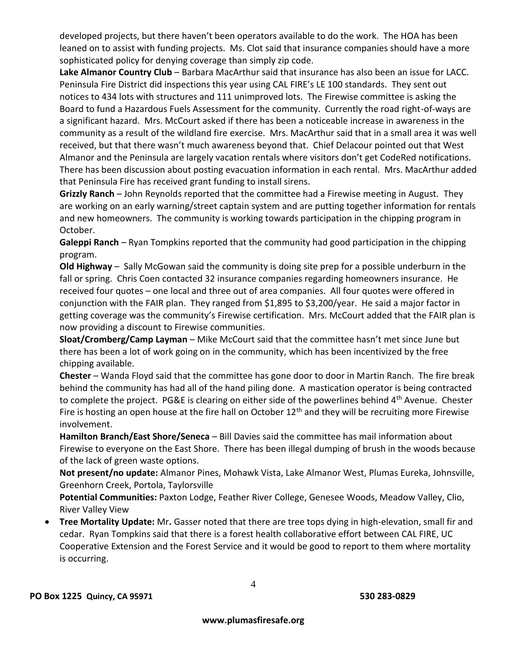developed projects, but there haven't been operators available to do the work. The HOA has been leaned on to assist with funding projects. Ms. Clot said that insurance companies should have a more sophisticated policy for denying coverage than simply zip code.

**Lake Almanor Country Club** – Barbara MacArthur said that insurance has also been an issue for LACC. Peninsula Fire District did inspections this year using CAL FIRE's LE 100 standards. They sent out notices to 434 lots with structures and 111 unimproved lots. The Firewise committee is asking the Board to fund a Hazardous Fuels Assessment for the community. Currently the road right-of-ways are a significant hazard. Mrs. McCourt asked if there has been a noticeable increase in awareness in the community as a result of the wildland fire exercise. Mrs. MacArthur said that in a small area it was well received, but that there wasn't much awareness beyond that. Chief Delacour pointed out that West Almanor and the Peninsula are largely vacation rentals where visitors don't get CodeRed notifications. There has been discussion about posting evacuation information in each rental. Mrs. MacArthur added that Peninsula Fire has received grant funding to install sirens.

**Grizzly Ranch** – John Reynolds reported that the committee had a Firewise meeting in August. They are working on an early warning/street captain system and are putting together information for rentals and new homeowners. The community is working towards participation in the chipping program in October.

**Galeppi Ranch** – Ryan Tompkins reported that the community had good participation in the chipping program.

**Old Highway** – Sally McGowan said the community is doing site prep for a possible underburn in the fall or spring. Chris Coen contacted 32 insurance companies regarding homeowners insurance. He received four quotes – one local and three out of area companies. All four quotes were offered in conjunction with the FAIR plan. They ranged from \$1,895 to \$3,200/year. He said a major factor in getting coverage was the community's Firewise certification. Mrs. McCourt added that the FAIR plan is now providing a discount to Firewise communities.

**Sloat/Cromberg/Camp Layman** – Mike McCourt said that the committee hasn't met since June but there has been a lot of work going on in the community, which has been incentivized by the free chipping available.

**Chester** – Wanda Floyd said that the committee has gone door to door in Martin Ranch. The fire break behind the community has had all of the hand piling done. A mastication operator is being contracted to complete the project. PG&E is clearing on either side of the powerlines behind 4<sup>th</sup> Avenue. Chester Fire is hosting an open house at the fire hall on October  $12<sup>th</sup>$  and they will be recruiting more Firewise involvement.

**Hamilton Branch/East Shore/Seneca** – Bill Davies said the committee has mail information about Firewise to everyone on the East Shore. There has been illegal dumping of brush in the woods because of the lack of green waste options.

**Not present/no update:** Almanor Pines, Mohawk Vista, Lake Almanor West, Plumas Eureka, Johnsville, Greenhorn Creek, Portola, Taylorsville

**Potential Communities:** Paxton Lodge, Feather River College, Genesee Woods, Meadow Valley, Clio, River Valley View

 **Tree Mortality Update:** Mr**.** Gasser noted that there are tree tops dying in high-elevation, small fir and cedar. Ryan Tompkins said that there is a forest health collaborative effort between CAL FIRE, UC Cooperative Extension and the Forest Service and it would be good to report to them where mortality is occurring.